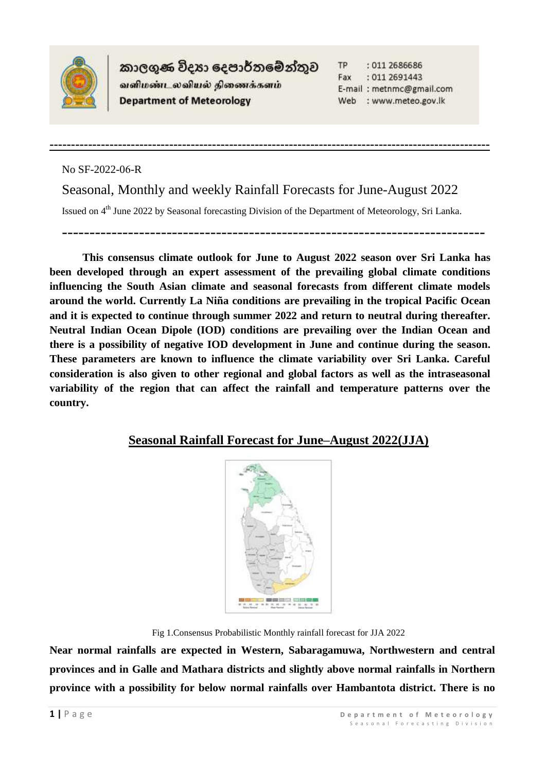

කාලගුණ විදහා දෙපාර්තමේන්තුව வளிமண்டலவியல் திணைக்களம் **Department of Meteorology** 

**-------------------------------------------------------------------------------------------------------**

**TP** : 011 2686686 Fax : 011 2691443 E-mail: metnmc@gmail.com Web : www.meteo.gov.lk

No SF-2022-06-R

Seasonal, Monthly and weekly Rainfall Forecasts for June-August 2022

Issued on 4<sup>th</sup> June 2022 by Seasonal forecasting Division of the Department of Meteorology, Sri Lanka.

-----------------------------------------------------------------------------

**This consensus climate outlook for June to August 2022 season over Sri Lanka has been developed through an expert assessment of the prevailing global climate conditions influencing the South Asian climate and seasonal forecasts from different climate models around the world. Currently La Niña conditions are prevailing in the tropical Pacific Ocean and it is expected to continue through summer 2022 and return to neutral during thereafter. Neutral Indian Ocean Dipole (IOD) conditions are prevailing over the Indian Ocean and there is a possibility of negative IOD development in June and continue during the season. These parameters are known to influence the climate variability over Sri Lanka. Careful consideration is also given to other regional and global factors as well as the intraseasonal variability of the region that can affect the rainfall and temperature patterns over the country.** 

### **Seasonal Rainfall Forecast for June–August 2022(JJA)**



Fig 1.Consensus Probabilistic Monthly rainfall forecast for JJA 2022

**Near normal rainfalls are expected in Western, Sabaragamuwa, Northwestern and central provinces and in Galle and Mathara districts and slightly above normal rainfalls in Northern province with a possibility for below normal rainfalls over Hambantota district. There is no**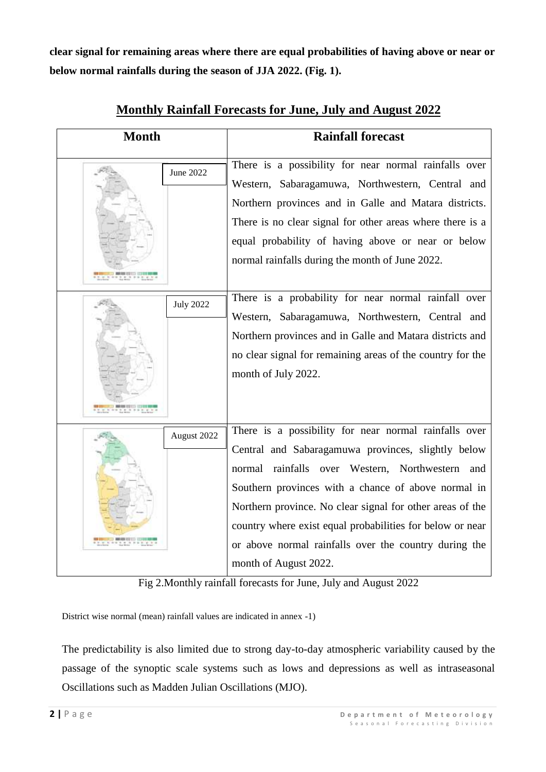**clear signal for remaining areas where there are equal probabilities of having above or near or below normal rainfalls during the season of JJA 2022. (Fig. 1).**

| <b>Month</b> |                  | <b>Rainfall forecast</b>                                                                                                                                                                                                                                                                                                                                                                                                          |  |
|--------------|------------------|-----------------------------------------------------------------------------------------------------------------------------------------------------------------------------------------------------------------------------------------------------------------------------------------------------------------------------------------------------------------------------------------------------------------------------------|--|
|              | June 2022        | There is a possibility for near normal rainfalls over<br>Western, Sabaragamuwa, Northwestern, Central and<br>Northern provinces and in Galle and Matara districts.<br>There is no clear signal for other areas where there is a<br>equal probability of having above or near or below<br>normal rainfalls during the month of June 2022.                                                                                          |  |
|              | <b>July 2022</b> | There is a probability for near normal rainfall over<br>Western, Sabaragamuwa, Northwestern, Central and<br>Northern provinces and in Galle and Matara districts and<br>no clear signal for remaining areas of the country for the<br>month of July 2022.                                                                                                                                                                         |  |
|              | August 2022      | There is a possibility for near normal rainfalls over<br>Central and Sabaragamuwa provinces, slightly below<br>normal rainfalls over Western, Northwestern and<br>Southern provinces with a chance of above normal in<br>Northern province. No clear signal for other areas of the<br>country where exist equal probabilities for below or near<br>or above normal rainfalls over the country during the<br>month of August 2022. |  |

## **Monthly Rainfall Forecasts for June, July and August 2022**

Fig 2.Monthly rainfall forecasts for June, July and August 2022

District wise normal (mean) rainfall values are indicated in annex -1)

The predictability is also limited due to strong day-to-day atmospheric variability caused by the passage of the synoptic scale systems such as lows and depressions as well as intraseasonal Oscillations such as Madden Julian Oscillations (MJO).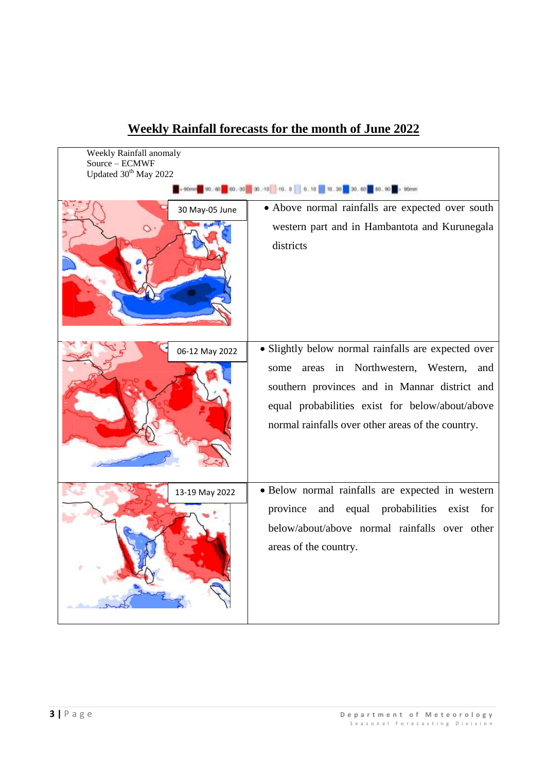| Weekly Rainfall anomaly           |                                                                                                                                                                                                                                                             |  |  |  |  |  |
|-----------------------------------|-------------------------------------------------------------------------------------------------------------------------------------------------------------------------------------------------------------------------------------------------------------|--|--|--|--|--|
| Source - ECMWF                    |                                                                                                                                                                                                                                                             |  |  |  |  |  |
| Updated 30 <sup>th</sup> May 2022 |                                                                                                                                                                                                                                                             |  |  |  |  |  |
|                                   |                                                                                                                                                                                                                                                             |  |  |  |  |  |
| 30 May-05 June                    | • Above normal rainfalls are expected over south                                                                                                                                                                                                            |  |  |  |  |  |
|                                   | western part and in Hambantota and Kurunegala<br>districts                                                                                                                                                                                                  |  |  |  |  |  |
| 06-12 May 2022                    | · Slightly below normal rainfalls are expected over<br>areas in Northwestern, Western, and<br>some<br>southern provinces and in Mannar district and<br>equal probabilities exist for below/about/above<br>normal rainfalls over other areas of the country. |  |  |  |  |  |
| 13-19 May 2022                    | · Below normal rainfalls are expected in western<br>equal probabilities exist for<br>province<br>and<br>below/about/above normal rainfalls over other<br>areas of the country.                                                                              |  |  |  |  |  |

# **Weekly Rainfall forecasts for the month of June 2022**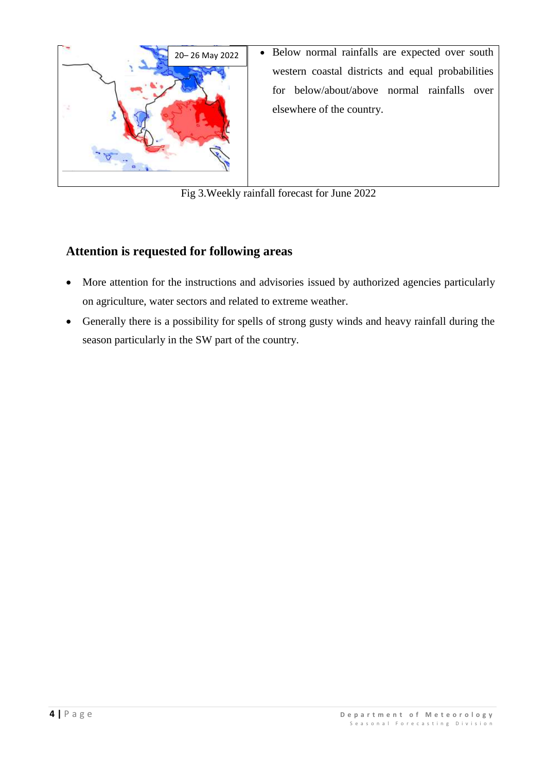

Fig 3.Weekly rainfall forecast for June 2022

# **Attention is requested for following areas**

- More attention for the instructions and advisories issued by authorized agencies particularly on agriculture, water sectors and related to extreme weather.
- Generally there is a possibility for spells of strong gusty winds and heavy rainfall during the season particularly in the SW part of the country.